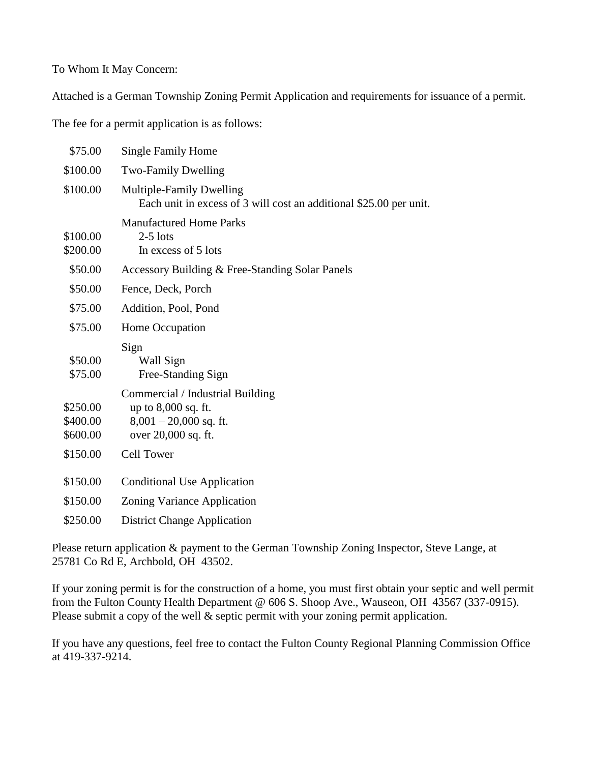To Whom It May Concern:

Attached is a German Township Zoning Permit Application and requirements for issuance of a permit.

The fee for a permit application is as follows:

| \$75.00                          | <b>Single Family Home</b>                                                                                  |
|----------------------------------|------------------------------------------------------------------------------------------------------------|
| \$100.00                         | <b>Two-Family Dwelling</b>                                                                                 |
| \$100.00                         | <b>Multiple-Family Dwelling</b><br>Each unit in excess of 3 will cost an additional \$25.00 per unit.      |
| \$100.00<br>\$200.00             | <b>Manufactured Home Parks</b><br>$2-5$ lots<br>In excess of 5 lots                                        |
| \$50.00                          | Accessory Building & Free-Standing Solar Panels                                                            |
| \$50.00                          | Fence, Deck, Porch                                                                                         |
| \$75.00                          | Addition, Pool, Pond                                                                                       |
| \$75.00                          | Home Occupation                                                                                            |
| \$50.00<br>\$75.00               | Sign<br>Wall Sign<br>Free-Standing Sign                                                                    |
| \$250.00<br>\$400.00<br>\$600.00 | Commercial / Industrial Building<br>up to 8,000 sq. ft.<br>$8,001 - 20,000$ sq. ft.<br>over 20,000 sq. ft. |
| \$150.00                         | <b>Cell Tower</b>                                                                                          |
| \$150.00                         | <b>Conditional Use Application</b>                                                                         |
| \$150.00                         | Zoning Variance Application                                                                                |
| \$250.00                         | <b>District Change Application</b>                                                                         |

Please return application & payment to the German Township Zoning Inspector, Steve Lange, at 25781 Co Rd E, Archbold, OH 43502.

If your zoning permit is for the construction of a home, you must first obtain your septic and well permit from the Fulton County Health Department @ 606 S. Shoop Ave., Wauseon, OH 43567 (337-0915). Please submit a copy of the well  $\&$  septic permit with your zoning permit application.

If you have any questions, feel free to contact the Fulton County Regional Planning Commission Office at 419-337-9214.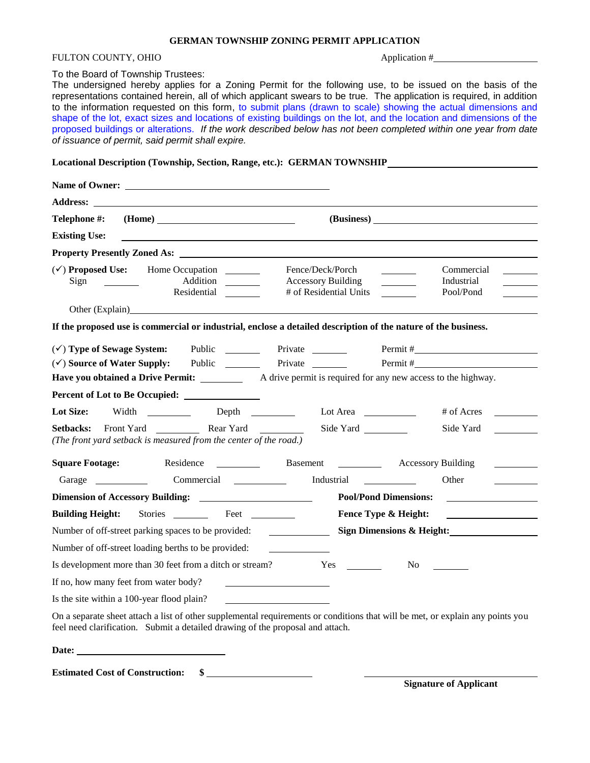## FULTON COUNTY, OHIO Application #

#### To the Board of Township Trustees:

The undersigned hereby applies for a Zoning Permit for the following use, to be issued on the basis of the representations contained herein, all of which applicant swears to be true. The application is required, in addition to the information requested on this form, to submit plans (drawn to scale) showing the actual dimensions and shape of the lot, exact sizes and locations of existing buildings on the lot, and the location and dimensions of the proposed buildings or alterations. *If the work described below has not been completed within one year from date of issuance of permit, said permit shall expire.*

**Locational Description (Township, Section, Range, etc.): GERMAN TOWNSHIP**

| Telephone #:                                                                                                  | (Home)                                                                                                                                               |  |  |  |  |
|---------------------------------------------------------------------------------------------------------------|------------------------------------------------------------------------------------------------------------------------------------------------------|--|--|--|--|
| <b>Existing Use:</b>                                                                                          |                                                                                                                                                      |  |  |  |  |
|                                                                                                               |                                                                                                                                                      |  |  |  |  |
| Addition<br>Sign<br>Residential                                                                               | Fence/Deck/Porch<br>Commercial<br><b>Accessory Building</b><br>Industrial<br># of Residential Units<br>Pool/Pond                                     |  |  |  |  |
| Other (Explain)                                                                                               |                                                                                                                                                      |  |  |  |  |
|                                                                                                               | If the proposed use is commercial or industrial, enclose a detailed description of the nature of the business.                                       |  |  |  |  |
| $(\checkmark)$ Type of Sewage System:                                                                         | Public Private Private<br>Permit #                                                                                                                   |  |  |  |  |
| $(\checkmark)$ Source of Water Supply:                                                                        | Private                                                                                                                                              |  |  |  |  |
|                                                                                                               | <b>Have you obtained a Drive Permit:</b> A drive permit is required for any new access to the highway.                                               |  |  |  |  |
| Percent of Lot to Be Occupied:                                                                                |                                                                                                                                                      |  |  |  |  |
| Lot Size:<br>Width _____________ Depth ________                                                               | Lot Area<br># of Acres                                                                                                                               |  |  |  |  |
| Front Yard <b>Rear Yard</b><br>Setbacks:<br>(The front yard setback is measured from the center of the road.) | Side Yard<br>Side Yard                                                                                                                               |  |  |  |  |
| <b>Square Footage:</b><br>Residence<br><b>Contract Contract Contract</b>                                      | <b>Accessory Building</b>                                                                                                                            |  |  |  |  |
| Garage Commercial Commercial                                                                                  | Other                                                                                                                                                |  |  |  |  |
|                                                                                                               | <b>Pool/Pond Dimensions:</b><br><u> 1989 - Jan Barbara Barbara, prima prima prima prima prima prima prima prima prima prima prima prima prima pr</u> |  |  |  |  |
| Stories Feet<br><b>Building Height:</b>                                                                       | Fence Type & Height:                                                                                                                                 |  |  |  |  |
| Sign Dimensions & Height:<br>Number of off-street parking spaces to be provided:                              |                                                                                                                                                      |  |  |  |  |
| Number of off-street loading berths to be provided:                                                           |                                                                                                                                                      |  |  |  |  |
| Is development more than 30 feet from a ditch or stream?                                                      | Yes<br>No.                                                                                                                                           |  |  |  |  |
| If no, how many feet from water body?                                                                         | <u> 1989 - Jan Barnett, fransk politik (</u>                                                                                                         |  |  |  |  |
| Is the site within a 100-year flood plain?                                                                    |                                                                                                                                                      |  |  |  |  |
|                                                                                                               | On a separate sheet attach a list of other supplemental requirements or conditions that will be met, or explain any points you                       |  |  |  |  |

feel need clarification. Submit a detailed drawing of the proposal and attach.

Date: <u>and the set of the set of the set of the set of the set of the set of the set of the set of the set of the set of the set of the set of the set of the set of the set of the set of the set of the set of the set of th</u>

**Estimated Cost of Construction: \$**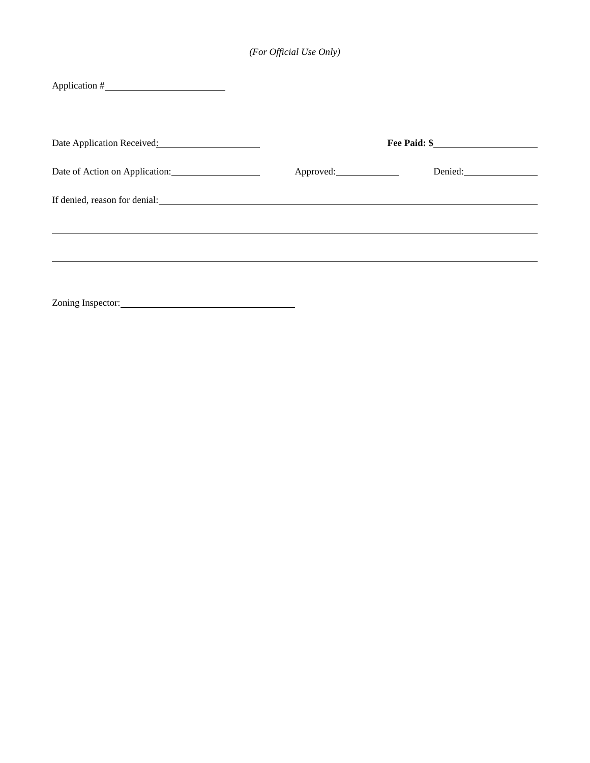| Application #                                                                                                                                                                                                                 |           |              |  |
|-------------------------------------------------------------------------------------------------------------------------------------------------------------------------------------------------------------------------------|-----------|--------------|--|
| Date Application Received:                                                                                                                                                                                                    |           | Fee Paid: \$ |  |
| Date of Action on Application: 1997                                                                                                                                                                                           | Approved: |              |  |
| If denied, reason for denial: North and South American control of the state of the state of the state of the state of the state of the state of the state of the state of the state of the state of the state of the state of |           |              |  |
|                                                                                                                                                                                                                               |           |              |  |
|                                                                                                                                                                                                                               |           |              |  |
| Zoning Inspector: 2000 and 2000 and 2000 and 2000 and 2000 and 2000 and 2000 and 2000 and 2000 and 2000 and 20                                                                                                                |           |              |  |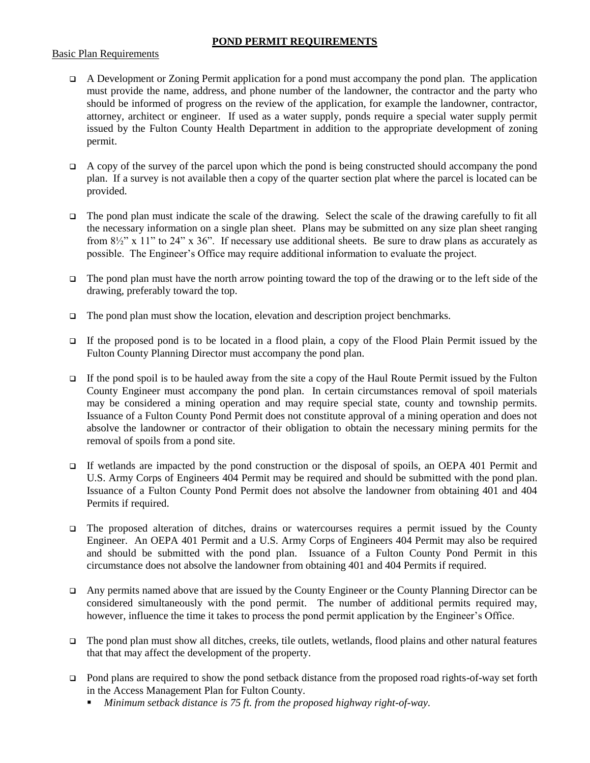## **POND PERMIT REQUIREMENTS**

#### Basic Plan Requirements

- A Development or Zoning Permit application for a pond must accompany the pond plan. The application must provide the name, address, and phone number of the landowner, the contractor and the party who should be informed of progress on the review of the application, for example the landowner, contractor, attorney, architect or engineer. If used as a water supply, ponds require a special water supply permit issued by the Fulton County Health Department in addition to the appropriate development of zoning permit.
- $\Box$  A copy of the survey of the parcel upon which the pond is being constructed should accompany the pond plan. If a survey is not available then a copy of the quarter section plat where the parcel is located can be provided.
- The pond plan must indicate the scale of the drawing. Select the scale of the drawing carefully to fit all the necessary information on a single plan sheet. Plans may be submitted on any size plan sheet ranging from 8½" x 11" to 24" x 36". If necessary use additional sheets. Be sure to draw plans as accurately as possible. The Engineer's Office may require additional information to evaluate the project.
- $\Box$  The pond plan must have the north arrow pointing toward the top of the drawing or to the left side of the drawing, preferably toward the top.
- $\Box$  The pond plan must show the location, elevation and description project benchmarks.
- If the proposed pond is to be located in a flood plain, a copy of the Flood Plain Permit issued by the Fulton County Planning Director must accompany the pond plan.
- $\Box$  If the pond spoil is to be hauled away from the site a copy of the Haul Route Permit issued by the Fulton County Engineer must accompany the pond plan. In certain circumstances removal of spoil materials may be considered a mining operation and may require special state, county and township permits. Issuance of a Fulton County Pond Permit does not constitute approval of a mining operation and does not absolve the landowner or contractor of their obligation to obtain the necessary mining permits for the removal of spoils from a pond site.
- If wetlands are impacted by the pond construction or the disposal of spoils, an OEPA 401 Permit and U.S. Army Corps of Engineers 404 Permit may be required and should be submitted with the pond plan. Issuance of a Fulton County Pond Permit does not absolve the landowner from obtaining 401 and 404 Permits if required.
- $\Box$  The proposed alteration of ditches, drains or watercourses requires a permit issued by the County Engineer. An OEPA 401 Permit and a U.S. Army Corps of Engineers 404 Permit may also be required and should be submitted with the pond plan. Issuance of a Fulton County Pond Permit in this circumstance does not absolve the landowner from obtaining 401 and 404 Permits if required.
- Any permits named above that are issued by the County Engineer or the County Planning Director can be considered simultaneously with the pond permit. The number of additional permits required may, however, influence the time it takes to process the pond permit application by the Engineer's Office.
- $\Box$  The pond plan must show all ditches, creeks, tile outlets, wetlands, flood plains and other natural features that that may affect the development of the property.
- □ Pond plans are required to show the pond setback distance from the proposed road rights-of-way set forth in the Access Management Plan for Fulton County.
	- *Minimum setback distance is 75 ft. from the proposed highway right-of-way.*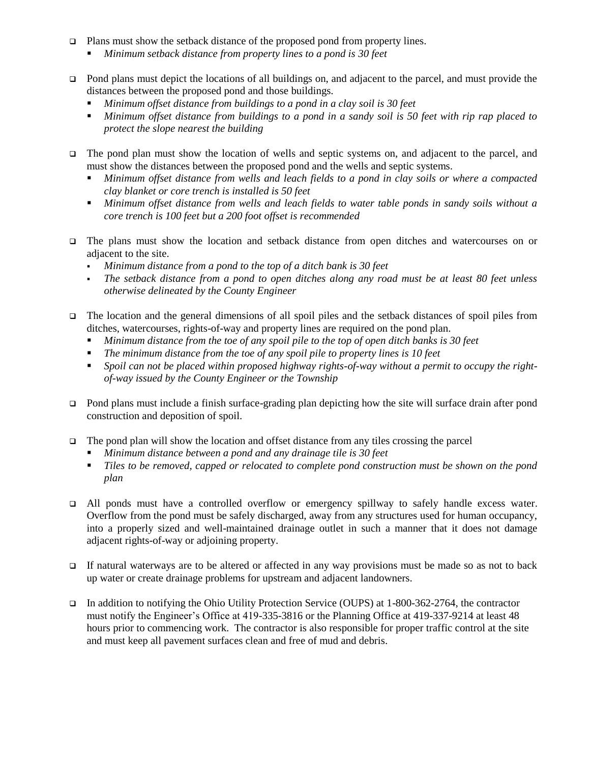- $\Box$  Plans must show the setback distance of the proposed pond from property lines.
	- *Minimum setback distance from property lines to a pond is 30 feet*
- □ Pond plans must depict the locations of all buildings on, and adjacent to the parcel, and must provide the distances between the proposed pond and those buildings.
	- *Minimum offset distance from buildings to a pond in a clay soil is 30 feet*
	- *Minimum offset distance from buildings to a pond in a sandy soil is 50 feet with rip rap placed to protect the slope nearest the building*
- □ The pond plan must show the location of wells and septic systems on, and adjacent to the parcel, and must show the distances between the proposed pond and the wells and septic systems.
	- *Minimum offset distance from wells and leach fields to a pond in clay soils or where a compacted clay blanket or core trench is installed is 50 feet*
	- *Minimum offset distance from wells and leach fields to water table ponds in sandy soils without a core trench is 100 feet but a 200 foot offset is recommended*
- The plans must show the location and setback distance from open ditches and watercourses on or adjacent to the site.
	- *Minimum distance from a pond to the top of a ditch bank is 30 feet*
	- *The setback distance from a pond to open ditches along any road must be at least 80 feet unless otherwise delineated by the County Engineer*
- The location and the general dimensions of all spoil piles and the setback distances of spoil piles from ditches, watercourses, rights-of-way and property lines are required on the pond plan.
	- *Minimum distance from the toe of any spoil pile to the top of open ditch banks is 30 feet*
	- *The minimum distance from the toe of any spoil pile to property lines is 10 feet*
	- *Spoil can not be placed within proposed highway rights-of-way without a permit to occupy the rightof-way issued by the County Engineer or the Township*
- $\Box$  Pond plans must include a finish surface-grading plan depicting how the site will surface drain after pond construction and deposition of spoil.
- $\Box$  The pond plan will show the location and offset distance from any tiles crossing the parcel
	- *Minimum distance between a pond and any drainage tile is 30 feet*
	- *Tiles to be removed, capped or relocated to complete pond construction must be shown on the pond plan*
- All ponds must have a controlled overflow or emergency spillway to safely handle excess water. Overflow from the pond must be safely discharged, away from any structures used for human occupancy, into a properly sized and well-maintained drainage outlet in such a manner that it does not damage adjacent rights-of-way or adjoining property.
- If natural waterways are to be altered or affected in any way provisions must be made so as not to back up water or create drainage problems for upstream and adjacent landowners.
- In addition to notifying the Ohio Utility Protection Service (OUPS) at 1-800-362-2764, the contractor must notify the Engineer's Office at 419-335-3816 or the Planning Office at 419-337-9214 at least 48 hours prior to commencing work. The contractor is also responsible for proper traffic control at the site and must keep all pavement surfaces clean and free of mud and debris.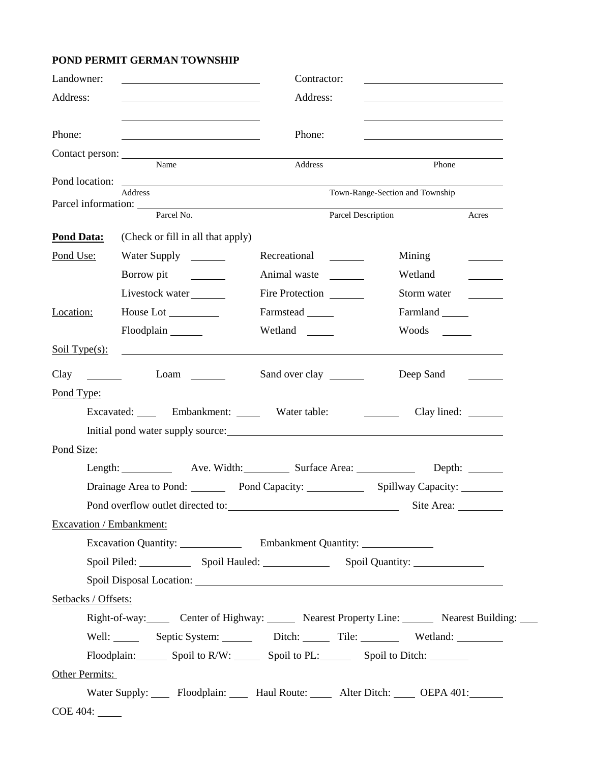# **POND PERMIT GERMAN TOWNSHIP**

| Address:<br>Address:                                                                                                                      |                                                                            |
|-------------------------------------------------------------------------------------------------------------------------------------------|----------------------------------------------------------------------------|
|                                                                                                                                           |                                                                            |
|                                                                                                                                           |                                                                            |
| Phone:<br>Phone:<br><u> 1989 - Johann Barnett, fransk politiker (</u>                                                                     |                                                                            |
| Name<br>Address                                                                                                                           | Phone                                                                      |
|                                                                                                                                           |                                                                            |
| <b>Address</b>                                                                                                                            | Town-Range-Section and Township                                            |
| Parcel No.<br>Parcel Description                                                                                                          | Acres                                                                      |
| (Check or fill in all that apply)<br><b>Pond Data:</b>                                                                                    |                                                                            |
| Water Supply<br>Pond Use:<br>Recreational _______                                                                                         | Mining                                                                     |
| Borrow pit<br>Animal waste                                                                                                                | Wetland                                                                    |
| Livestock water<br>Fire Protection                                                                                                        | Storm water                                                                |
| Farmstead<br>House Lot<br>Location:                                                                                                       | Farmland                                                                   |
| Floodplain<br>Wetland                                                                                                                     |                                                                            |
| Soil Type $(s)$ :<br><u> Alexandria de la contexta de la contexta de la contexta de la contexta de la contexta de la contexta de la c</u> |                                                                            |
|                                                                                                                                           |                                                                            |
| Clay<br>Sand over clay<br>$\mathcal{L}^{\text{max}}_{\text{max}}$ .                                                                       |                                                                            |
| Pond Type:                                                                                                                                |                                                                            |
| Excavated: Embankment: Water table:<br><u> 1990 - Jan James Barnett, primeira politik (</u>                                               | Clay lined: _________                                                      |
| Pond Size:                                                                                                                                |                                                                            |
| Length: Ave. Width: Surface Area:                                                                                                         |                                                                            |
| Drainage Area to Pond: Pond Capacity: 2008.                                                                                               | Depth: $\_\_\_\_\_\_\_\_\_\_\_\_\_\_\_\_\_$<br>Spillway Capacity: ________ |
| Pond overflow outlet directed to:                                                                                                         |                                                                            |
| Excavation / Embankment:                                                                                                                  |                                                                            |
|                                                                                                                                           |                                                                            |
| Spoil Piled: Spoil Hauled: Spoil Cuantity: Spoil Quantity:                                                                                |                                                                            |
|                                                                                                                                           |                                                                            |
| Setbacks / Offsets:                                                                                                                       |                                                                            |
| Right-of-way: Center of Highway: Nearest Property Line: Nearest Building: Nearest Building:                                               |                                                                            |
|                                                                                                                                           |                                                                            |
| Floodplain: Spoil to R/W: Spoil to PL: Spoil to Ditch: ______                                                                             |                                                                            |
| Other Permits:                                                                                                                            |                                                                            |
| Water Supply: Floodplain: Haul Route: Alter Ditch: OEPA 401:                                                                              |                                                                            |
|                                                                                                                                           |                                                                            |